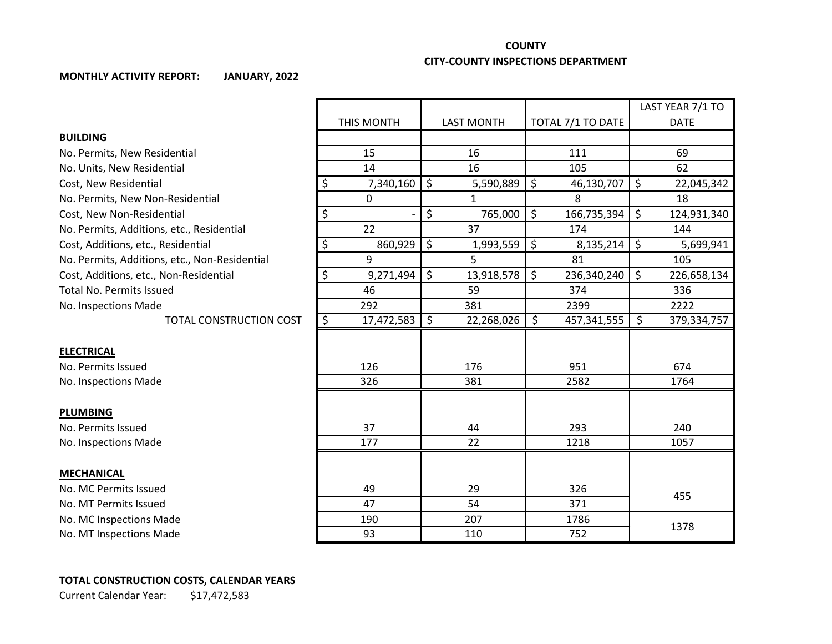## **COUNTY**

## **CITY-COUNTY INSPECTIONS DEPARTMENT**

## **MONTHLY ACTIVITY REPORT: JANUARY, 2022**

|                                               |                                        |                   |                             | LAST YEAR 7/1 TO  |
|-----------------------------------------------|----------------------------------------|-------------------|-----------------------------|-------------------|
|                                               | THIS MONTH                             | <b>LAST MONTH</b> | TOTAL 7/1 TO DATE           | <b>DATE</b>       |
| <b>BUILDING</b>                               |                                        |                   |                             |                   |
| No. Permits, New Residential                  | 15                                     | 16                | 111                         | 69                |
| No. Units, New Residential                    | 14                                     | 16                | 105                         | 62                |
| Cost, New Residential                         | \$<br>7,340,160                        | \$<br>5,590,889   | \$<br>46,130,707            | \$<br>22,045,342  |
| No. Permits, New Non-Residential              | $\Omega$                               | $\mathbf{1}$      | 8                           | 18                |
| Cost, New Non-Residential                     | \$                                     | \$<br>765,000     | \$<br>166,735,394           | \$<br>124,931,340 |
| No. Permits, Additions, etc., Residential     | 22                                     | 37                | 174                         | 144               |
| Cost, Additions, etc., Residential            | \$<br>860,929                          | \$<br>1,993,559   | \$<br>8,135,214             | \$<br>5,699,941   |
| No. Permits, Additions, etc., Non-Residential | 9                                      | 5                 | 81                          | 105               |
| Cost, Additions, etc., Non-Residential        | \$<br>9,271,494                        | \$<br>13,918,578  | $\mathsf{S}$<br>236,340,240 | \$<br>226,658,134 |
| <b>Total No. Permits Issued</b>               | 46                                     | 59                | 374                         | 336               |
| No. Inspections Made                          | 292                                    | 381               | 2399                        | 2222              |
| <b>TOTAL CONSTRUCTION COST</b>                | $\overline{\mathcal{S}}$<br>17,472,583 | \$<br>22,268,026  | \$<br>457,341,555           | \$<br>379,334,757 |
|                                               |                                        |                   |                             |                   |
| <b>ELECTRICAL</b>                             |                                        |                   |                             |                   |
| No. Permits Issued                            | 126                                    | 176               | 951                         | 674               |
| No. Inspections Made                          | 326                                    | 381               | 2582                        | 1764              |
|                                               |                                        |                   |                             |                   |
| <b>PLUMBING</b>                               |                                        |                   |                             |                   |
| No. Permits Issued                            | 37                                     | 44                | 293                         | 240               |
| No. Inspections Made                          | 177                                    | 22                | 1218                        | 1057              |
|                                               |                                        |                   |                             |                   |
| <b>MECHANICAL</b>                             |                                        |                   |                             |                   |
| No. MC Permits Issued                         | 49                                     | 29                | 326                         | 455               |
| No. MT Permits Issued                         | 47                                     | 54                | 371                         |                   |
| No. MC Inspections Made                       | 190                                    | 207               | 1786                        | 1378              |
| No. MT Inspections Made                       | 93                                     | 110               | 752                         |                   |

## **TOTAL CONSTRUCTION COSTS, CALENDAR YEARS**

Current Calendar Year: 517,472,583